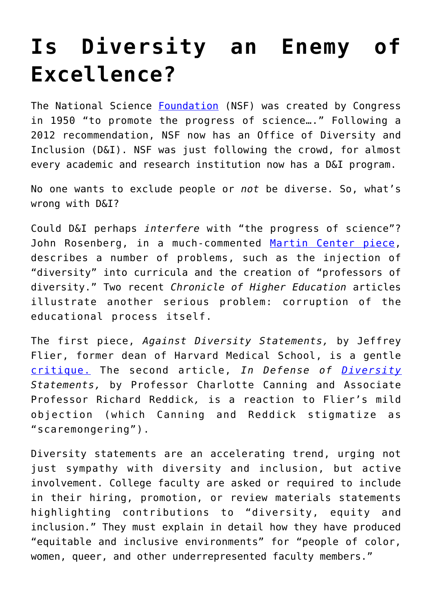## **[Is Diversity an Enemy of](https://intellectualtakeout.org/2019/02/is-diversity-an-enemy-of-excellence/) [Excellence?](https://intellectualtakeout.org/2019/02/is-diversity-an-enemy-of-excellence/)**

The National Science [Foundation](https://www.nsf.gov/about/) (NSF) was created by Congress in 1950 "to promote the progress of science…." Following a 2012 recommendation, NSF now has an Office of Diversity and Inclusion (D&I). NSF was just following the crowd, for almost every academic and research institution now has a D&I program.

No one wants to exclude people or *not* be diverse. So, what's wrong with D&I?

Could D&I perhaps *interfere* with "the progress of science"? John Rosenberg, in a much-commented [Martin Center piece,](https://www.jamesgmartin.center/2018/12/from-diverse-professors-to-professors-of-diversity/) describes a number of problems, such as the injection of "diversity" into curricula and the creation of "professors of diversity." Two recent *Chronicle of Higher Education* articles illustrate another serious problem: corruption of the educational process itself.

The first piece, *Against Diversity Statements,* by Jeffrey Flier, former dean of Harvard Medical School, is a gentle [critique.](https://www-chronicle-com.proxy.lib.duke.edu/article/Against-Diversity-Statements/245400) The second article, *In Defense of [Diversity](https://www-chronicle-com.proxy.lib.duke.edu/article/In-Defense-of-Diversity/245463?cid=pm&utm_source=pm&utm_medium=en&elqTrackId=9cc85ab44fe9425aab1eef48c4ba8111&elq=dc3499e43e004397805de4e08f6407c4&elqaid=21970&elqat=1&elqCampaignId=10743) Statements,* by Professor Charlotte Canning and Associate Professor Richard Reddick*,* is a reaction to Flier's mild objection (which Canning and Reddick stigmatize as "scaremongering").

Diversity statements are an accelerating trend, urging not just sympathy with diversity and inclusion, but active involvement. College faculty are asked or required to include in their hiring, promotion, or review materials statements highlighting contributions to "diversity, equity and inclusion." They must explain in detail how they have produced "equitable and inclusive environments" for "people of color, women, queer, and other underrepresented faculty members."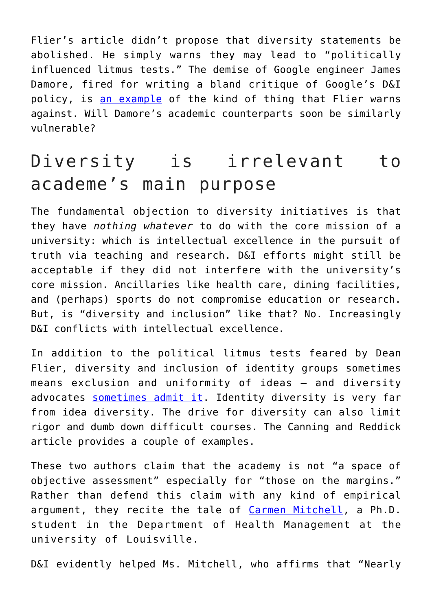Flier's article didn't propose that diversity statements be abolished. He simply warns they may lead to "politically influenced litmus tests." The demise of Google engineer James Damore, fired for writing a bland critique of Google's D&I policy, is [an example](https://www.psychologytoday.com/us/blog/adaptive-behavior/201708/let-us-hear-no-more-whining-about-disparate-impact) of the kind of thing that Flier warns against. Will Damore's academic counterparts soon be similarly vulnerable?

## Diversity is irrelevant to academe's main purpose

The fundamental objection to diversity initiatives is that they have *nothing whatever* to do with the core mission of a university: which is intellectual excellence in the pursuit of truth via teaching and research. D&I efforts might still be acceptable if they did not interfere with the university's core mission. Ancillaries like health care, dining facilities, and (perhaps) sports do not compromise education or research. But, is "diversity and inclusion" like that? No. Increasingly D&I conflicts with intellectual excellence.

In addition to the political litmus tests feared by Dean Flier, diversity and inclusion of identity groups sometimes means exclusion and uniformity of ideas — and diversity advocates [sometimes admit it](https://www.jamesgmartin.center/2018/06/diversity-and-inclusion-of-identity-groups-often-means-uniformity-and-exclusion-of-ideas/). Identity diversity is very far from idea diversity. The drive for diversity can also limit rigor and dumb down difficult courses. The Canning and Reddick article provides a couple of examples.

These two authors claim that the academy is not "a space of objective assessment" especially for "those on the margins." Rather than defend this claim with any kind of empirical argument, they recite the tale of [Carmen Mitchell](https://www.insidehighered.com/views/2018/11/15/benefits-faculty-diversity-statements-opinion), a Ph.D. student in the Department of Health Management at the university of Louisville.

D&I evidently helped Ms. Mitchell, who affirms that "Nearly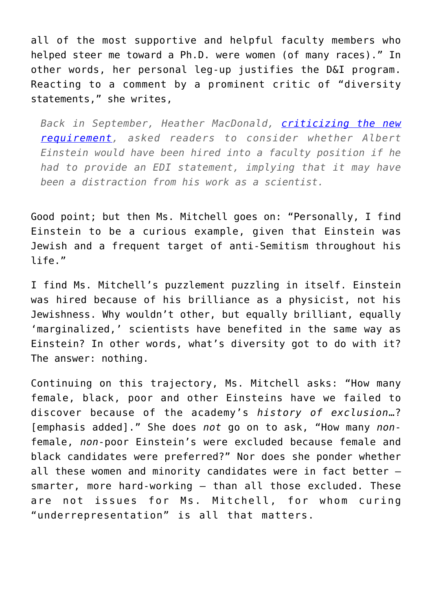all of the most supportive and helpful faculty members who helped steer me toward a Ph.D. were women (of many races)." In other words, her personal leg-up justifies the D&I program. Reacting to a comment by a prominent critic of "diversity statements," she writes,

*Back in September, Heather MacDonald, [criticizing the new](http://www.latimes.com/opinion/op-ed/la-oe-mac-donald-diversity-ucla-20180902-story.html) [requirement,](http://www.latimes.com/opinion/op-ed/la-oe-mac-donald-diversity-ucla-20180902-story.html) asked readers to consider whether Albert Einstein would have been hired into a faculty position if he had to provide an EDI statement, implying that it may have been a distraction from his work as a scientist.*

Good point; but then Ms. Mitchell goes on: "Personally, I find Einstein to be a curious example, given that Einstein was Jewish and a frequent target of anti-Semitism throughout his life."

I find Ms. Mitchell's puzzlement puzzling in itself. Einstein was hired because of his brilliance as a physicist, not his Jewishness. Why wouldn't other, but equally brilliant, equally 'marginalized,' scientists have benefited in the same way as Einstein? In other words, what's diversity got to do with it? The answer: nothing.

Continuing on this trajectory, Ms. Mitchell asks: "How many female, black, poor and other Einsteins have we failed to discover because of the academy's *history of exclusion*…? [emphasis added]." She does *not* go on to ask, "How many *non*female, *non*-poor Einstein's were excluded because female and black candidates were preferred?" Nor does she ponder whether all these women and minority candidates were in fact better smarter, more hard-working — than all those excluded. These are not issues for Ms. Mitchell, for whom curing "underrepresentation" is all that matters.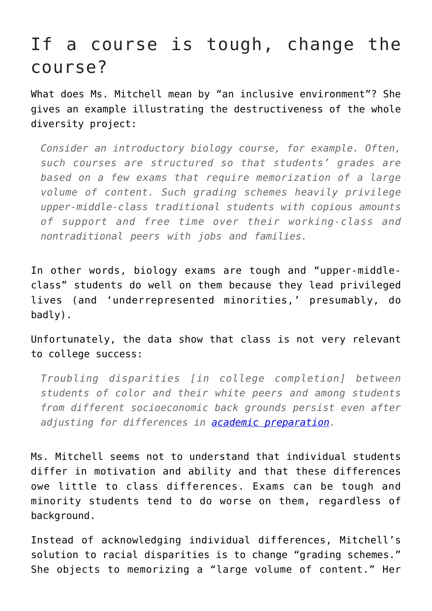## If a course is tough, change the course?

What does Ms. Mitchell mean by "an inclusive environment"? She gives an example illustrating the destructiveness of the whole diversity project:

*Consider an introductory biology course, for example. Often, such courses are structured so that students' grades are based on a few exams that require memorization of a large volume of content. Such grading schemes heavily privilege upper-middle-class traditional students with copious amounts of support and free time over their working-class and nontraditional peers with jobs and families.* 

In other words, biology exams are tough and "upper-middleclass" students do well on them because they lead privileged lives (and 'underrepresented minorities,' presumably, do badly).

Unfortunately, the data show that class is not very relevant to college success:

*Troubling disparities [in college completion] between students of color and their white peers and among students from different socioeconomic back grounds persist even after adjusting for differences in [academic preparation](https://www.aei.org/publication/elevating-college-completion/).*

Ms. Mitchell seems not to understand that individual students differ in motivation and ability and that these differences owe little to class differences. Exams can be tough and minority students tend to do worse on them, regardless of background.

Instead of acknowledging individual differences, Mitchell's solution to racial disparities is to change "grading schemes." She objects to memorizing a "large volume of content." Her